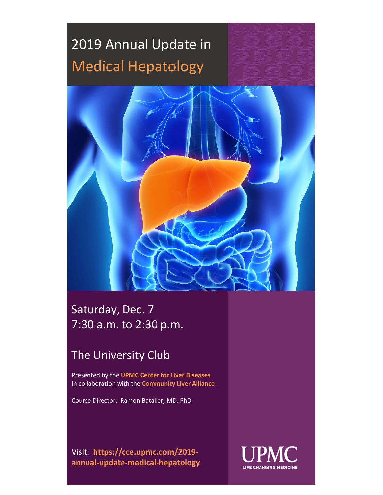

### Saturday, Dec. 7 7:30 a.m. to 2:30 p.m.

### The University Club

Presented by the **UPMC Center for Liver Diseases** In collaboration with the **Community Liver Alliance**

Course Director: Ramon Bataller, MD, PhD

Visit: **https://cce.upmc.com/2019 annual-update-medical-hepatology**

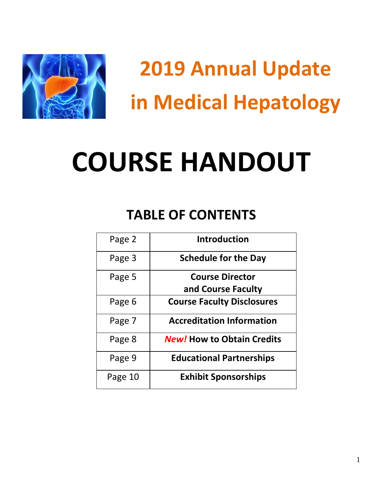

# **COURSE HANDOUT**

## **TABLE OF CONTENTS**

| Page 2  | <b>Introduction</b>               |
|---------|-----------------------------------|
| Page 3  | <b>Schedule for the Day</b>       |
| Page 5  | <b>Course Director</b>            |
|         | and Course Faculty                |
| Page 6  | <b>Course Faculty Disclosures</b> |
| Page 7  | <b>Accreditation Information</b>  |
| Page 8  | <b>New! How to Obtain Credits</b> |
| Page 9  | <b>Educational Partnerships</b>   |
| Page 10 | <b>Exhibit Sponsorships</b>       |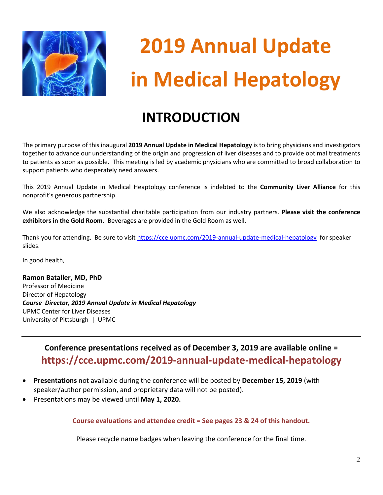

## **INTRODUCTION**

The primary purpose of this inaugural **2019 Annual Update in Medical Hepatology** is to bring physicians and investigators together to advance our understanding of the origin and progression of liver diseases and to provide optimal treatments to patients as soon as possible. This meeting is led by academic physicians who are committed to broad collaboration to support patients who desperately need answers.

This 2019 Annual Update in Medical Heaptology conference is indebted to the **Community Liver Alliance** for this nonprofit's generous partnership.

We also acknowledge the substantial charitable participation from our industry partners. **Please visit the conference exhibitors in the Gold Room.** Beverages are provided in the Gold Room as well.

Thank you for attending. Be sure to visit<https://cce.upmc.com/2019-annual-update-medical-hepatology> for speaker slides.

In good health,

**Ramon Bataller, MD, PhD** Professor of Medicine Director of Hepatology *Course Director, 2019 Annual Update in Medical Hepatology* UPMC Center for Liver Diseases University of Pittsburgh | UPMC

> **Conference presentations received as of December 3, 2019 are available online = https://cce.upmc.com/2019-annual-update-medical-hepatology**

- **Presentations** not available during the conference will be posted by **December 15, 2019** (with speaker/author permission, and proprietary data will not be posted).
- Presentations may be viewed until **May 1, 2020.**

**Course evaluations and attendee credit = See pages 23 & 24 of this handout.**

Please recycle name badges when leaving the conference for the final time.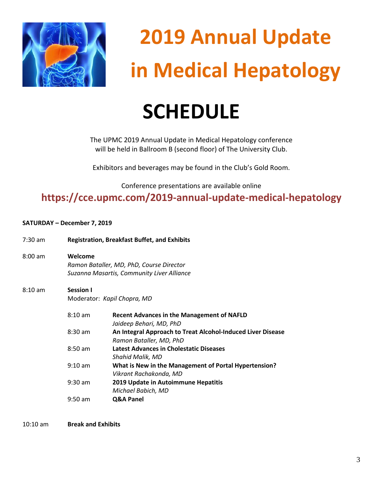

# **SCHEDULE**

The UPMC 2019 Annual Update in Medical Hepatology conference will be held in Ballroom B (second floor) of The University Club.

Exhibitors and beverages may be found in the Club's Gold Room.

Conference presentations are available online

**https://cce.upmc.com/2019-annual-update-medical-hepatology**

### **SATURDAY – December 7, 2019**

| $7:30$ am | <b>Registration, Breakfast Buffet, and Exhibits</b>                                               |                                                                                        |
|-----------|---------------------------------------------------------------------------------------------------|----------------------------------------------------------------------------------------|
| $8:00$ am | Welcome<br>Ramon Bataller, MD, PhD, Course Director<br>Suzanna Masartis, Community Liver Alliance |                                                                                        |
| $8:10$ am | <b>Session I</b>                                                                                  |                                                                                        |
|           | Moderator: Kapil Chopra, MD                                                                       |                                                                                        |
|           | $8:10$ am                                                                                         | <b>Recent Advances in the Management of NAFLD</b><br>Jaideep Behari, MD, PhD           |
|           | $8:30$ am                                                                                         | An Integral Approach to Treat Alcohol-Induced Liver Disease<br>Ramon Bataller, MD, PhD |
|           | $8:50$ am                                                                                         | <b>Latest Advances in Cholestatic Diseases</b><br><b>Shahid Malik, MD</b>              |
|           | $9:10$ am                                                                                         | What is New in the Management of Portal Hypertension?<br>Vikrant Rachakonda, MD        |
|           | $9:30$ am                                                                                         | 2019 Update in Autoimmune Hepatitis<br>Michael Babich, MD                              |
|           | $9:50$ am                                                                                         | Q&A Panel                                                                              |

10:10 am **Break and Exhibits**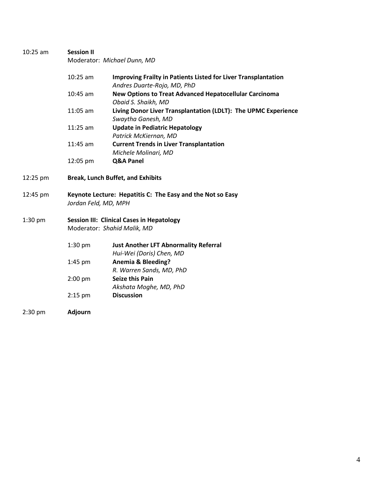| $10:25$ am | <b>Session II</b><br>Moderator: Michael Dunn, MD                                   |                                                                                                      |  |
|------------|------------------------------------------------------------------------------------|------------------------------------------------------------------------------------------------------|--|
|            | $10:25$ am                                                                         | <b>Improving Frailty in Patients Listed for Liver Transplantation</b><br>Andres Duarte-Rojo, MD, PhD |  |
|            | $10:45$ am                                                                         | <b>New Options to Treat Advanced Hepatocellular Carcinoma</b><br>Obaid S. Shaikh, MD                 |  |
|            | 11:05 am                                                                           | Living Donor Liver Transplantation (LDLT): The UPMC Experience<br>Swaytha Ganesh, MD                 |  |
|            | $11:25$ am                                                                         | <b>Update in Pediatric Hepatology</b><br>Patrick McKiernan, MD                                       |  |
|            | 11:45 am                                                                           | <b>Current Trends in Liver Transplantation</b><br>Michele Molinari, MD                               |  |
|            | 12:05 pm                                                                           | Q&A Panel                                                                                            |  |
| 12:25 pm   | <b>Break, Lunch Buffet, and Exhibits</b>                                           |                                                                                                      |  |
| 12:45 pm   | Keynote Lecture: Hepatitis C: The Easy and the Not so Easy<br>Jordan Feld, MD, MPH |                                                                                                      |  |
| $1:30$ pm  |                                                                                    | <b>Session III: Clinical Cases in Hepatology</b><br>Moderator: Shahid Malik, MD                      |  |
|            | $1:30$ pm                                                                          | <b>Just Another LFT Abnormality Referral</b><br>Hui-Wei (Doris) Chen, MD                             |  |
|            | $1:45$ pm                                                                          | <b>Anemia &amp; Bleeding?</b><br>R. Warren Sands, MD, PhD                                            |  |
|            | $2:00$ pm                                                                          | <b>Seize this Pain</b><br>Akshata Moghe, MD, PhD                                                     |  |
|            | $2:15$ pm                                                                          | <b>Discussion</b>                                                                                    |  |
| $2:30$ pm  | <b>Adjourn</b>                                                                     |                                                                                                      |  |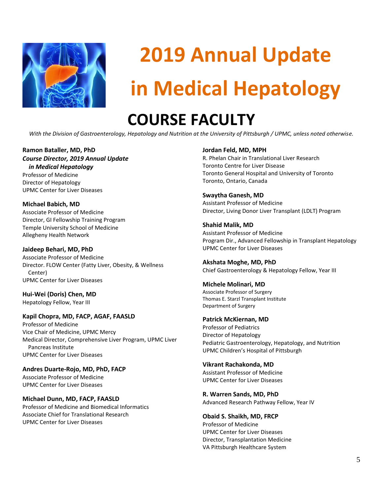

## **COURSE FACULTY**

*With the Division of Gastroenterology, Hepatology and Nutrition at the University of Pittsburgh / UPMC, unless noted otherwise.*

#### **Ramon Bataller, MD, PhD** *Course Director, 2019 Annual Update in Medical Hepatology*

Professor of Medicine Director of Hepatology UPMC Center for Liver Diseases

**Michael Babich, MD** Associate Professor of Medicine Director, GI Fellowship Training Program Temple University School of Medicine Allegheny Health Network

**Jaideep Behari, MD, PhD** Associate Professor of Medicine Director. FLOW Center (Fatty Liver, Obesity, & Wellness Center) UPMC Center for Liver Diseases

**Hui-Wei (Doris) Chen, MD** Hepatology Fellow, Year III

#### **Kapil Chopra, MD, FACP, AGAF, FAASLD**

Professor of Medicine Vice Chair of Medicine, UPMC Mercy Medical Director, Comprehensive Liver Program, UPMC Liver Pancreas Institute UPMC Center for Liver Diseases

**Andres Duarte-Rojo, MD, PhD, FACP** Associate Professor of Medicine UPMC Center for Liver Diseases

**Michael Dunn, MD, FACP, FAASLD** Professor of Medicine and Biomedical Informatics Associate Chief for Translational Research UPMC Center for Liver Diseases

#### **Jordan Feld, MD, MPH**

R. Phelan Chair in Translational Liver Research Toronto Centre for Liver Disease Toronto General Hospital and University of Toronto Toronto, Ontario, Canada

#### **Swaytha Ganesh, MD**

Assistant Professor of Medicine Director, Living Donor Liver Transplant (LDLT) Program

**Shahid Malik, MD** Assistant Professor of Medicine Program Dir., Advanced Fellowship in Transplant Hepatology UPMC Center for Liver Diseases

**Akshata Moghe, MD, PhD** Chief Gastroenterology & Hepatology Fellow, Year III

#### **Michele Molinari, MD**

Associate Professor of Surgery Thomas E. Starzl Transplant Institute Department of Surgery

**Patrick McKiernan, MD**

Professor of Pediatrics Director of Hepatology Pediatric Gastroenterology, Hepatology, and Nutrition UPMC Children's Hospital of Pittsburgh

#### **Vikrant Rachakonda, MD**

Assistant Professor of Medicine UPMC Center for Liver Diseases

**R. Warren Sands, MD, PhD** Advanced Research Pathway Fellow, Year IV

**Obaid S. Shaikh, MD, FRCP** Professor of Medicine UPMC Center for Liver Diseases Director, Transplantation Medicine VA Pittsburgh Healthcare System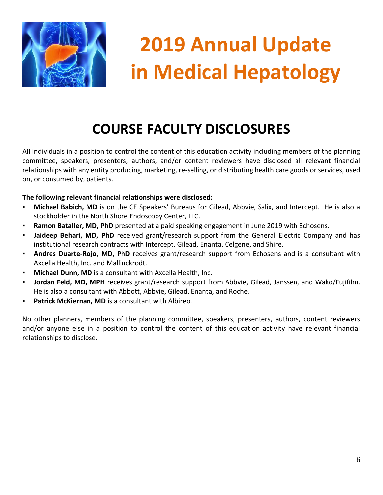

## **COURSE FACULTY DISCLOSURES**

All individuals in a position to control the content of this education activity including members of the planning committee, speakers, presenters, authors, and/or content reviewers have disclosed all relevant financial relationships with any entity producing, marketing, re-selling, or distributing health care goods or services, used on, or consumed by, patients.

### **The following relevant financial relationships were disclosed:**

- **Michael Babich, MD** is on the CE Speakers' Bureaus for Gilead, Abbvie, Salix, and Intercept. He is also a stockholder in the North Shore Endoscopy Center, LLC.
- **EXAMON Bataller, MD, PhD** presented at a paid speaking engagement in June 2019 with Echosens.
- **EXTED** Jaideep Behari, MD, PhD received grant/research support from the General Electric Company and has institutional research contracts with Intercept, Gilead, Enanta, Celgene, and Shire.
- Andres Duarte-Rojo, MD, PhD receives grant/research support from Echosens and is a consultant with Axcella Health, Inc. and Mallinckrodt.
- **Michael Dunn, MD** is a consultant with Axcella Health, Inc.
- Jordan Feld, MD, MPH receives grant/research support from Abbvie, Gilead, Janssen, and Wako/Fujifilm. He is also a consultant with Abbott, Abbvie, Gilead, Enanta, and Roche.
- **Patrick McKiernan, MD** is a consultant with Albireo.

No other planners, members of the planning committee, speakers, presenters, authors, content reviewers and/or anyone else in a position to control the content of this education activity have relevant financial relationships to disclose.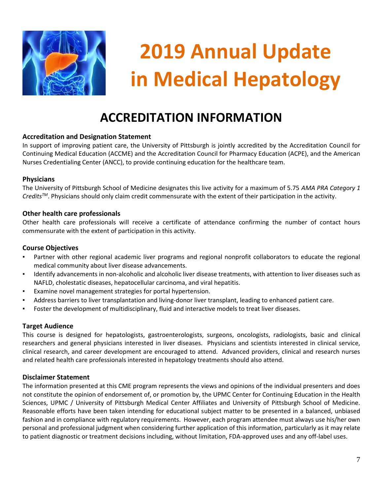

### **ACCREDITATION INFORMATION**

### **Accreditation and Designation Statement**

In support of improving patient care, the University of Pittsburgh is jointly accredited by the Accreditation Council for Continuing Medical Education (ACCME) and the Accreditation Council for Pharmacy Education (ACPE), and the American Nurses Credentialing Center (ANCC), to provide continuing education for the healthcare team.

#### **Physicians**

The University of Pittsburgh School of Medicine designates this live activity for a maximum of 5.75 *AMA PRA Category 1 CreditsTM*. Physicians should only claim credit commensurate with the extent of their participation in the activity.

### **Other health care professionals**

Other health care professionals will receive a certificate of attendance confirming the number of contact hours commensurate with the extent of participation in this activity.

#### **Course Objectives**

- Partner with other regional academic liver programs and regional nonprofit collaborators to educate the regional medical community about liver disease advancements.
- Identify advancements in non-alcoholic and alcoholic liver disease treatments, with attention to liver diseases such as NAFLD, cholestatic diseases, hepatocellular carcinoma, and viral hepatitis.
- Examine novel management strategies for portal hypertension.
- Address barriers to liver transplantation and living-donor liver transplant, leading to enhanced patient care.
- Foster the development of multidisciplinary, fluid and interactive models to treat liver diseases.

### **Target Audience**

This course is designed for hepatologists, gastroenterologists, surgeons, oncologists, radiologists, basic and clinical researchers and general physicians interested in liver diseases. Physicians and scientists interested in clinical service, clinical research, and career development are encouraged to attend. Advanced providers, clinical and research nurses and related health care professionals interested in hepatology treatments should also attend.

### **Disclaimer Statement**

The information presented at this CME program represents the views and opinions of the individual presenters and does not constitute the opinion of endorsement of, or promotion by, the UPMC Center for Continuing Education in the Health Sciences, UPMC / University of Pittsburgh Medical Center Affiliates and University of Pittsburgh School of Medicine. Reasonable efforts have been taken intending for educational subject matter to be presented in a balanced, unbiased fashion and in compliance with regulatory requirements. However, each program attendee must always use his/her own personal and professional judgment when considering further application of this information, particularly as it may relate to patient diagnostic or treatment decisions including, without limitation, FDA-approved uses and any off-label uses.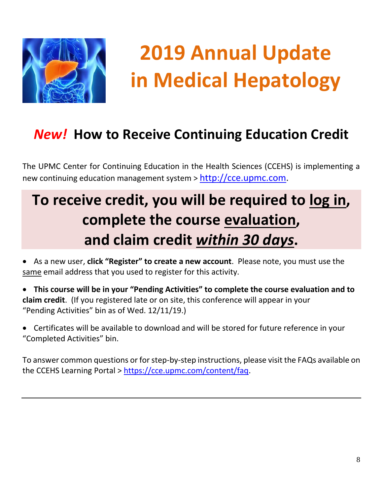

## *New!* **How to Receive Continuing Education Credit**

The UPMC Center for Continuing Education in the Health Sciences (CCEHS) is implementing a new continuing education management system > [http://cce.upmc.com.](http://cce.upmc.com/)

## **To receive credit, you will be required to log in, complete the course evaluation, and claim credit** *within 30 days***.**

• As a new user, **click "Register" to create a new account**. Please note, you must use the same email address that you used to register for this activity.

• **This course will be in your "Pending Activities" to complete the course evaluation and to claim credit**. (If you registered late or on site, this conference will appear in your "Pending Activities" bin as of Wed. 12/11/19.)

• Certificates will be available to download and will be stored for future reference in your "Completed Activities" bin.

To answer common questions or for step-by-step instructions, please visit the FAQs available on the CCEHS Learning Portal > [https://cce.upmc.com/content/faq.](https://cce.upmc.com/content/faq)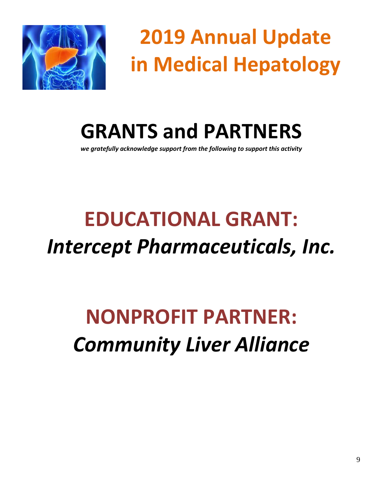

**GRANTS and PARTNERS**

*we gratefully acknowledge support from the following to support this activity*

# **EDUCATIONAL GRANT:** *Intercept Pharmaceuticals, Inc.*

## **NONPROFIT PARTNER:** *Community Liver Alliance*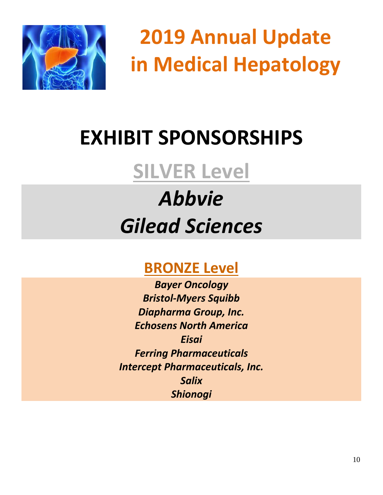

# **EXHIBIT SPONSORSHIPS**

## **SILVER Level**

# *Abbvie Gilead Sciences*

## **BRONZE Level**

*Bayer Oncology Bristol-Myers Squibb Diapharma Group, Inc. Echosens North America Eisai Ferring Pharmaceuticals Intercept Pharmaceuticals, Inc. Salix Shionogi*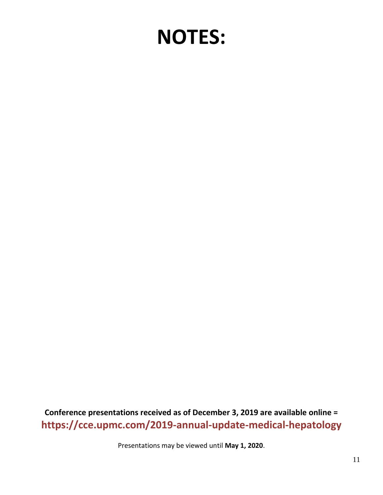## **NOTES:**

**Conference presentations received as of December 3, 2019 are available online = https://cce.upmc.com/2019-annual-update-medical-hepatology**

Presentations may be viewed until **May 1, 2020**.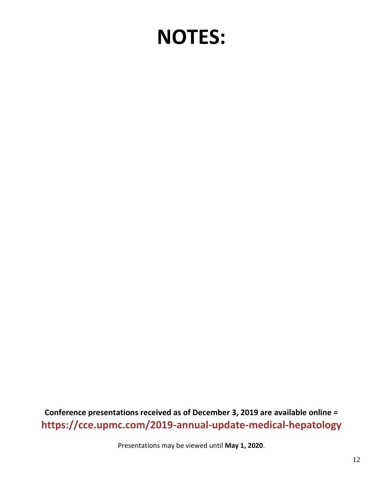## **NOTES:**

**Conference presentations received as of December 3, 2019 are available online = https://cce.upmc.com/2019-annual-update-medical-hepatology**

Presentations may be viewed until **May 1, 2020**.